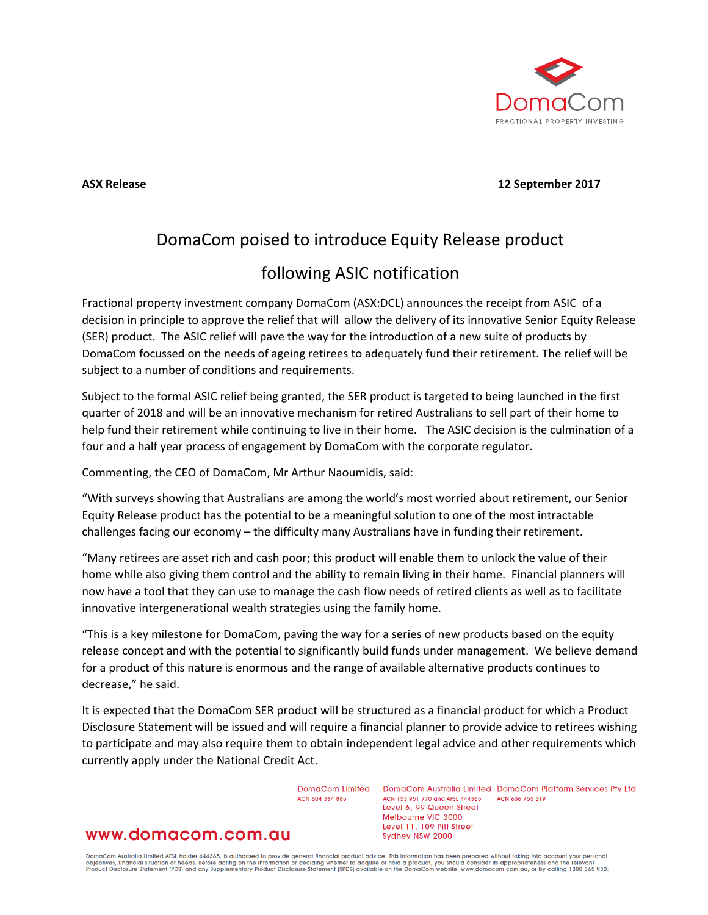

**ASX Release 12 September 2017**

# DomaCom poised to introduce Equity Release product following ASIC notification

## Fractional property investment company DomaCom (ASX:DCL) announces the receipt from ASIC of a decision in principle to approve the relief that will allow the delivery of its innovative Senior Equity Release (SER) product. The ASIC relief will pave the way for the introduction of a new suite of products by DomaCom focussed on the needs of ageing retirees to adequately fund their retirement. The relief will be subject to a number of conditions and requirements.

Subject to the formal ASIC relief being granted, the SER product is targeted to being launched in the first quarter of 2018 and will be an innovative mechanism for retired Australians to sell part of their home to help fund their retirement while continuing to live in their home. The ASIC decision is the culmination of a four and a half year process of engagement by DomaCom with the corporate regulator.

Commenting, the CEO of DomaCom, Mr Arthur Naoumidis, said:

"With surveys showing that Australians are among the world's most worried about retirement, our Senior Equity Release product has the potential to be a meaningful solution to one of the most intractable challenges facing our economy – the difficulty many Australians have in funding their retirement.

"Many retirees are asset rich and cash poor; this product will enable them to unlock the value of their home while also giving them control and the ability to remain living in their home. Financial planners will now have a tool that they can use to manage the cash flow needs of retired clients as well as to facilitate innovative intergenerational wealth strategies using the family home.

"This is a key milestone for DomaCom, paving the way for a series of new products based on the equity release concept and with the potential to significantly build funds under management. We believe demand for a product of this nature is enormous and the range of available alternative products continues to decrease," he said.

It is expected that the DomaCom SER product will be structured as a financial product for which a Product Disclosure Statement will be issued and will require a financial planner to provide advice to retirees wishing to participate and may also require them to obtain independent legal advice and other requirements which currently apply under the National Credit Act.

ACN 604 384 885

DomaCom Limited DomaCom Australia Limited DomaCom Platform Services Pty Ltd ACN 153 951 770 and AFSL 444365 ACN 606 755 319 Level 6, 99 Queen Street Melbourne VIC 3000 Level 11, 109 Pitt Street Sydney NSW 2000

## www.domacom.com.au

DomaCom Australia Limited AFSL holder 444365, is authorised to provide general financial product advice. This information has been prepared without taking into account your personal<br>objectives, financial situation or needs